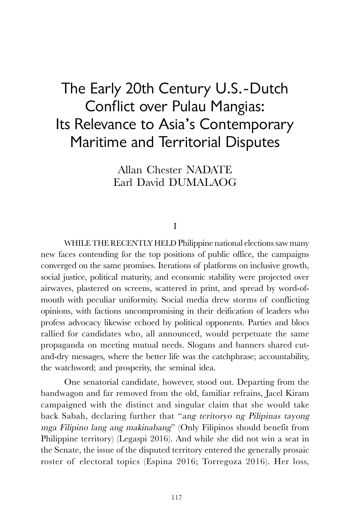# The Early 20th Century U.S.-Dutch Conflict over Pulau Mangias: Its Relevance to Asia's Contemporary Maritime and Territorial Disputes

Allan Chester NADATE Earl David DUMALAOG

I

WHILE THE RECENTLY HELD Philippine national elections saw many new faces contending for the top positions of public office, the campaigns converged on the same promises. Iterations of platforms on inclusive growth, social justice, political maturity, and economic stability were projected over airwaves, plastered on screens, scattered in print, and spread by word-ofmouth with peculiar uniformity. Social media drew storms of conflicting opinions, with factions uncompromising in their deification of leaders who profess advocacy likewise echoed by political opponents. Parties and blocs rallied for candidates who, all announced, would perpetuate the same propaganda on meeting mutual needs. Slogans and banners shared cutand-dry messages, where the better life was the catchphrase; accountability, the watchword; and prosperity, the seminal idea.

One senatorial candidate, however, stood out. Departing from the bandwagon and far removed from the old, familiar refrains, Jacel Kiram campaigned with the distinct and singular claim that she would take back Sabah, declaring further that "ang teritoryo ng Pilipinas tayong mga Filipino lang ang makinabang" (Only Filipinos should benefit from Philippine territory) (Legaspi 2016). And while she did not win a seat in the Senate, the issue of the disputed territory entered the generally prosaic roster of electoral topics (Espina 2016; Torregoza 2016). Her loss,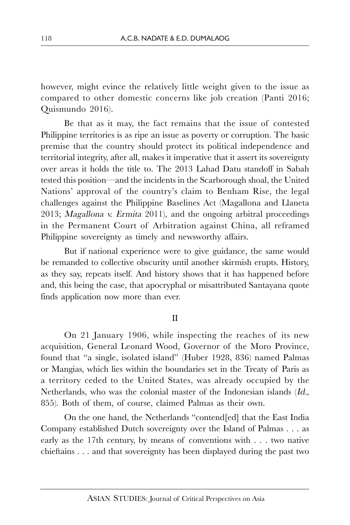however, might evince the relatively little weight given to the issue as compared to other domestic concerns like job creation (Panti 2016; Quismundo 2016).

Be that as it may, the fact remains that the issue of contested Philippine territories is as ripe an issue as poverty or corruption. The basic premise that the country should protect its political independence and territorial integrity, after all, makes it imperative that it assert its sovereignty over areas it holds the title to. The 2013 Lahad Datu standoff in Sabah tested this position—and the incidents in the Scarborough shoal, the United Nations' approval of the country's claim to Benham Rise, the legal challenges against the Philippine Baselines Act (Magallona and Llaneta 2013; Magallona v. Ermita 2011), and the ongoing arbitral proceedings in the Permanent Court of Arbitration against China, all reframed Philippine sovereignty as timely and newsworthy affairs.

But if national experience were to give guidance, the same would be remanded to collective obscurity until another skirmish erupts. History, as they say, repeats itself. And history shows that it has happened before and, this being the case, that apocryphal or misattributed Santayana quote finds application now more than ever.

### II

On 21 January 1906, while inspecting the reaches of its new acquisition, General Leonard Wood, Governor of the Moro Province, found that "a single, isolated island" (Huber 1928, 836) named Palmas or Mangias, which lies within the boundaries set in the Treaty of Paris as a territory ceded to the United States, was already occupied by the Netherlands, who was the colonial master of the Indonesian islands (Id., 855). Both of them, of course, claimed Palmas as their own.

On the one hand, the Netherlands "contend[ed] that the East India Company established Dutch sovereignty over the Island of Palmas . . . as early as the 17th century, by means of conventions with . . . two native chieftains . . . and that sovereignty has been displayed during the past two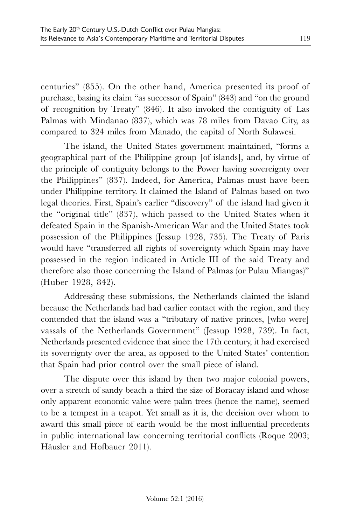centuries" (855). On the other hand, America presented its proof of purchase, basing its claim "as successor of Spain" (843) and "on the ground of recognition by Treaty" (846). It also invoked the contiguity of Las Palmas with Mindanao (837), which was 78 miles from Davao City, as compared to 324 miles from Manado, the capital of North Sulawesi.

The island, the United States government maintained, "forms a geographical part of the Philippine group [of islands], and, by virtue of the principle of contiguity belongs to the Power having sovereignty over the Philippines" (837). Indeed, for America, Palmas must have been under Philippine territory. It claimed the Island of Palmas based on two legal theories. First, Spain's earlier "discovery" of the island had given it the "original title" (837), which passed to the United States when it defeated Spain in the Spanish-American War and the United States took possession of the Philippines (Jessup 1928, 735). The Treaty of Paris would have "transferred all rights of sovereignty which Spain may have possessed in the region indicated in Article III of the said Treaty and therefore also those concerning the Island of Palmas (or Pulau Miangas)" (Huber 1928, 842).

Addressing these submissions, the Netherlands claimed the island because the Netherlands had had earlier contact with the region, and they contended that the island was a "tributary of native princes, [who were] vassals of the Netherlands Government" (Jessup 1928, 739). In fact, Netherlands presented evidence that since the 17th century, it had exercised its sovereignty over the area, as opposed to the United States' contention that Spain had prior control over the small piece of island.

The dispute over this island by then two major colonial powers, over a stretch of sandy beach a third the size of Boracay island and whose only apparent economic value were palm trees (hence the name), seemed to be a tempest in a teapot. Yet small as it is, the decision over whom to award this small piece of earth would be the most influential precedents in public international law concerning territorial conflicts (Roque 2003; Häusler and Hofbauer 2011).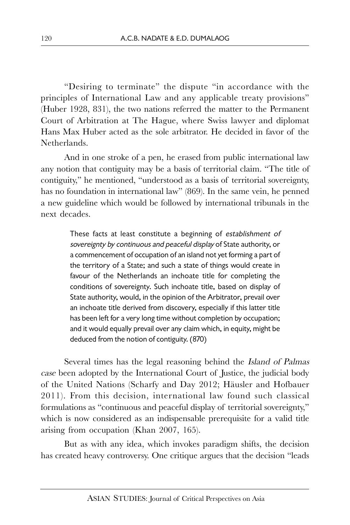"Desiring to terminate" the dispute "in accordance with the principles of International Law and any applicable treaty provisions" (Huber 1928, 831), the two nations referred the matter to the Permanent Court of Arbitration at The Hague, where Swiss lawyer and diplomat Hans Max Huber acted as the sole arbitrator. He decided in favor of the Netherlands.

And in one stroke of a pen, he erased from public international law any notion that contiguity may be a basis of territorial claim. "The title of contiguity," he mentioned, "understood as a basis of territorial sovereignty, has no foundation in international law" (869). In the same vein, he penned a new guideline which would be followed by international tribunals in the next decades.

> These facts at least constitute a beginning of establishment of sovereignty by continuous and peaceful display of State authority, or a commencement of occupation of an island not yet forming a part of the territory of a State; and such a state of things would create in favour of the Netherlands an inchoate title for completing the conditions of sovereignty. Such inchoate title, based on display of State authority, would, in the opinion of the Arbitrator, prevail over an inchoate title derived from discovery, especially if this latter title has been left for a very long time without completion by occupation; and it would equally prevail over any claim which, in equity, might be deduced from the notion of contiguity. (870)

Several times has the legal reasoning behind the Island of Palmas case been adopted by the International Court of Justice, the judicial body of the United Nations (Scharfy and Day 2012; Häusler and Hofbauer 2011). From this decision, international law found such classical formulations as "continuous and peaceful display of territorial sovereignty," which is now considered as an indispensable prerequisite for a valid title arising from occupation (Khan 2007, 165).

But as with any idea, which invokes paradigm shifts, the decision has created heavy controversy. One critique argues that the decision "leads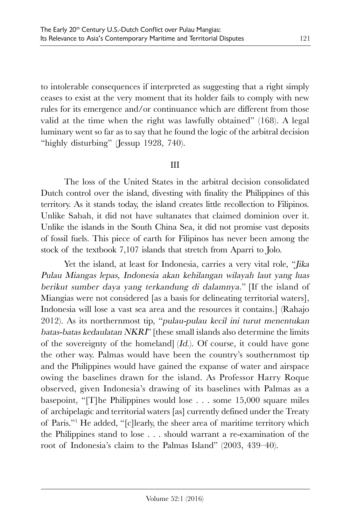to intolerable consequences if interpreted as suggesting that a right simply ceases to exist at the very moment that its holder fails to comply with new rules for its emergence and/or continuance which are different from those valid at the time when the right was lawfully obtained" (168). A legal luminary went so far as to say that he found the logic of the arbitral decision "highly disturbing" (Jessup 1928, 740).

## III

The loss of the United States in the arbitral decision consolidated Dutch control over the island, divesting with finality the Philippines of this territory. As it stands today, the island creates little recollection to Filipinos. Unlike Sabah, it did not have sultanates that claimed dominion over it. Unlike the islands in the South China Sea, it did not promise vast deposits of fossil fuels. This piece of earth for Filipinos has never been among the stock of the textbook 7,107 islands that stretch from Aparri to Jolo.

Yet the island, at least for Indonesia, carries a very vital role, "Jika Pulau Miangas lepas, Indonesia akan kehilangan wilayah laut yang luas berikut sumber daya yang terkandung di dalamnya." [If the island of Miangias were not considered [as a basis for delineating territorial waters], Indonesia will lose a vast sea area and the resources it contains.] (Rahajo 2012). As its northernmost tip, "pulau-pulau kecil ini turut menentukan batas-batas kedaulatan NKRI" [these small islands also determine the limits of the sovereignty of the homeland] (Id.). Of course, it could have gone the other way. Palmas would have been the country's southernmost tip and the Philippines would have gained the expanse of water and airspace owing the baselines drawn for the island. As Professor Harry Roque observed, given Indonesia's drawing of its baselines with Palmas as a basepoint, "[T]he Philippines would lose . . . some 15,000 square miles of archipelagic and territorial waters [as] currently defined under the Treaty of Paris."<sup>1</sup> He added, "[c]learly, the sheer area of maritime territory which the Philippines stand to lose . . . should warrant a re-examination of the root of Indonesia's claim to the Palmas Island" (2003, 439–40).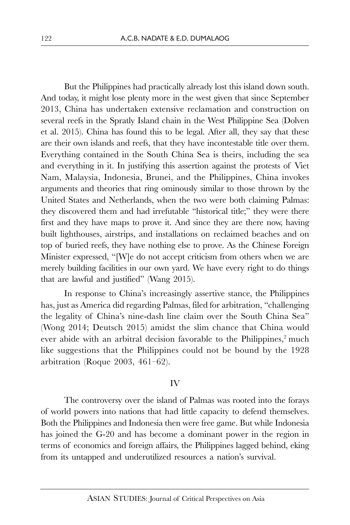But the Philippines had practically already lost this island down south. And today, it might lose plenty more in the west given that since September 2013, China has undertaken extensive reclamation and construction on several reefs in the Spratly Island chain in the West Philippine Sea (Dolven et al. 2015). China has found this to be legal. After all, they say that these are their own islands and reefs, that they have incontestable title over them. Everything contained in the South China Sea is theirs, including the sea and everything in it. In justifying this assertion against the protests of Viet Nam, Malaysia, Indonesia, Brunei, and the Philippines, China invokes arguments and theories that ring ominously similar to those thrown by the United States and Netherlands, when the two were both claiming Palmas: they discovered them and had irrefutable "historical title;" they were there first and they have maps to prove it. And since they are there now, having built lighthouses, airstrips, and installations on reclaimed beaches and on top of buried reefs, they have nothing else to prove. As the Chinese Foreign Minister expressed, "[W]e do not accept criticism from others when we are merely building facilities in our own yard. We have every right to do things that are lawful and justified" (Wang 2015).

In response to China's increasingly assertive stance, the Philippines has, just as America did regarding Palmas, filed for arbitration, "challenging the legality of China's nine-dash line claim over the South China Sea" (Wong 2014; Deutsch 2015) amidst the slim chance that China would ever abide with an arbitral decision favorable to the Philippines,<sup>2</sup> much like suggestions that the Philippines could not be bound by the 1928 arbitration (Roque 2003, 461–62).

#### IV

The controversy over the island of Palmas was rooted into the forays of world powers into nations that had little capacity to defend themselves. Both the Philippines and Indonesia then were free game. But while Indonesia has joined the G-20 and has become a dominant power in the region in terms of economics and foreign affairs, the Philippines lagged behind, eking from its untapped and underutilized resources a nation's survival.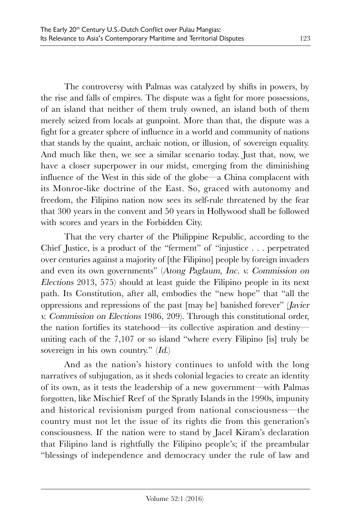The controversy with Palmas was catalyzed by shifts in powers, by the rise and falls of empires. The dispute was a fight for more possessions, of an island that neither of them truly owned, an island both of them merely seized from locals at gunpoint. More than that, the dispute was a fight for a greater sphere of influence in a world and community of nations that stands by the quaint, archaic notion, or illusion, of sovereign equality. And much like then, we see a similar scenario today. Just that, now, we have a closer superpower in our midst, emerging from the diminishing influence of the West in this side of the globe—a China complacent with its Monroe-like doctrine of the East. So, graced with autonomy and freedom, the Filipino nation now sees its self-rule threatened by the fear that 300 years in the convent and 50 years in Hollywood shall be followed with scores and years in the Forbidden City.

That the very charter of the Philippine Republic, according to the Chief Justice, is a product of the "ferment" of "injustice . . . perpetrated over centuries against a majority of [the Filipino] people by foreign invaders and even its own governments" (Atong Paglaum, Inc. v. Commission on Elections 2013, 575) should at least guide the Filipino people in its next path. Its Constitution, after all, embodies the "new hope" that "all the oppressions and repressions of the past [may be] banished forever" (Javier v. Commission on Elections 1986, 209). Through this constitutional order, the nation fortifies its statehood—its collective aspiration and destiny uniting each of the 7,107 or so island "where every Filipino [is] truly be sovereign in his own country." (Id.)

And as the nation's history continues to unfold with the long narratives of subjugation, as it sheds colonial legacies to create an identity of its own, as it tests the leadership of a new government—with Palmas forgotten, like Mischief Reef of the Spratly Islands in the 1990s, impunity and historical revisionism purged from national consciousness—the country must not let the issue of its rights die from this generation's consciousness. If the nation were to stand by Jacel Kiram's declaration that Filipino land is rightfully the Filipino people's; if the preambular "blessings of independence and democracy under the rule of law and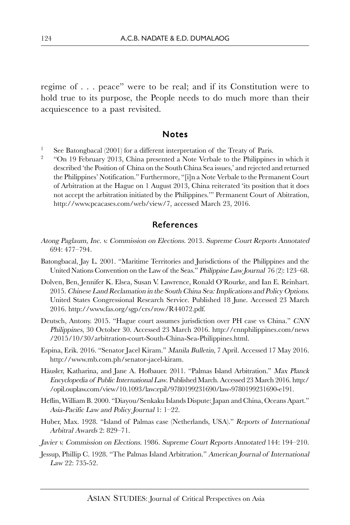regime of . . . peace" were to be real; and if its Constitution were to hold true to its purpose, the People needs to do much more than their acquiescence to a past revisited.

#### Notes

- See Batongbacal (2001) for a different interpretation of the Treaty of Paris.
- <sup>2</sup> "On 19 February 2013, China presented a Note Verbale to the Philippines in which it described 'the Position of China on the South China Sea issues,' and rejected and returned the Philippines' Notification." Furthermore, "[i]n a Note Verbale to the Permanent Court of Arbitration at the Hague on 1 August 2013, China reiterated 'its position that it does not accept the arbitration initiated by the Philippines.'" Permanent Court of Abitration, http://www.pcacases.com/web/view/7, accessed March 23, 2016.

## References

- Atong Paglaum, Inc. v. Commission on Elections. 2013. Supreme Court Reports Annotated 694: 477–794.
- Batongbacal, Jay L. 2001. "Maritime Territories and Jurisdictions of the Philippines and the United Nations Convention on the Law of the Seas." Philippine Law Journal 76 (2): 123–68.
- Dolven, Ben, Jennifer K. Elsea, Susan V. Lawrence, Ronald O'Rourke, and Ian E. Reinhart. 2015. Chinese Land Reclamation in the South China Sea: Implications and Policy Options. United States Congressional Research Service. Published 18 June. Accessed 23 March 2016. http://www.fas.org/sgp/crs/row/R44072.pdf.
- Deutsch, Antony. 2015. "Hague court assumes jurisdiction over PH case vs China." CNN Philippines, 30 October 30. Accessed 23 March 2016. http://cnnphilippines.com/news /2015/10/30/arbitration-court-South-China-Sea-Philippines.html.
- Espina, Erik. 2016. "Senator Jacel Kiram." Manila Bulletin, 7 April. Accessed 17 May 2016. http://www.mb.com.ph/senator-jacel-kiram.
- Häusler, Katharina, and Jane A. Hofbauer. 2011. "Palmas Island Arbitration." Max Planck Encyclopedia of Public International Law. Published March. Accessed 23 March 2016. http:/ /opil.ouplaw.com/view/10.1093/law:epil/9780199231690/law-9780199231690-e191.
- Heflin, William B. 2000. "Diayou/Senkaku Islands Dispute: Japan and China, Oceans Apart." Asia-Pacific Law and Policy Journal 1: 1–22.
- Huber, Max. 1928. "Island of Palmas case (Netherlands, USA)." Reports of International Arbitral Awards 2: 829–71.
- Javier v. Commission on Elections. 1986. Supreme Court Reports Annotated 144: 194–210.
- Jessup, Phillip C. 1928. "The Palmas Island Arbitration." American Journal of International Law 22: 735-52.